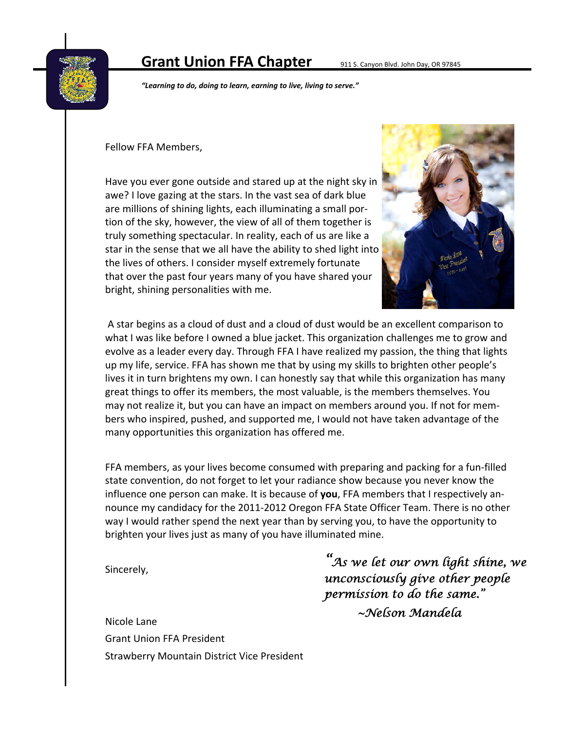# **Grant Union FFA Chapter** 911 S. Canyon Blvd. John Day, OR 97845



*"Learning to do, doing to learn, earning to live, living to serve."*

#### Fellow FFA Members,

Have you ever gone outside and stared up at the night sky in awe? I love gazing at the stars. In the vast sea of dark blue are millions of shining lights, each illuminating a small por‐ tion of the sky, however, the view of all of them together is truly something spectacular. In reality, each of us are like a star in the sense that we all have the ability to shed light into the lives of others. I consider myself extremely fortunate that over the past four years many of you have shared your bright, shining personalities with me.



A star begins as a cloud of dust and a cloud of dust would be an excellent comparison to what I was like before I owned a blue jacket. This organization challenges me to grow and evolve as a leader every day. Through FFA I have realized my passion, the thing that lights up my life, service. FFA has shown me that by using my skills to brighten other people's lives it in turn brightens my own. I can honestly say that while this organization has many great things to offer its members, the most valuable, is the members themselves. You may not realize it, but you can have an impact on members around you. If not for mem‐ bers who inspired, pushed, and supported me, I would not have taken advantage of the many opportunities this organization has offered me.

FFA members, as your lives become consumed with preparing and packing for a fun‐filled state convention, do not forget to let your radiance show because you never know the influence one person can make. It is because of **you**, FFA members that I respectively an‐ nounce my candidacy for the 2011‐2012 Oregon FFA State Officer Team. There is no other way I would rather spend the next year than by serving you, to have the opportunity to brighten your lives just as many of you have illuminated mine.

Sincerely,

*"As we let our own light shine, we unconsciously give other people permission to do the same." ~Nelson Mandela*

Nicole Lane Grant Union FFA President Strawberry Mountain District Vice President